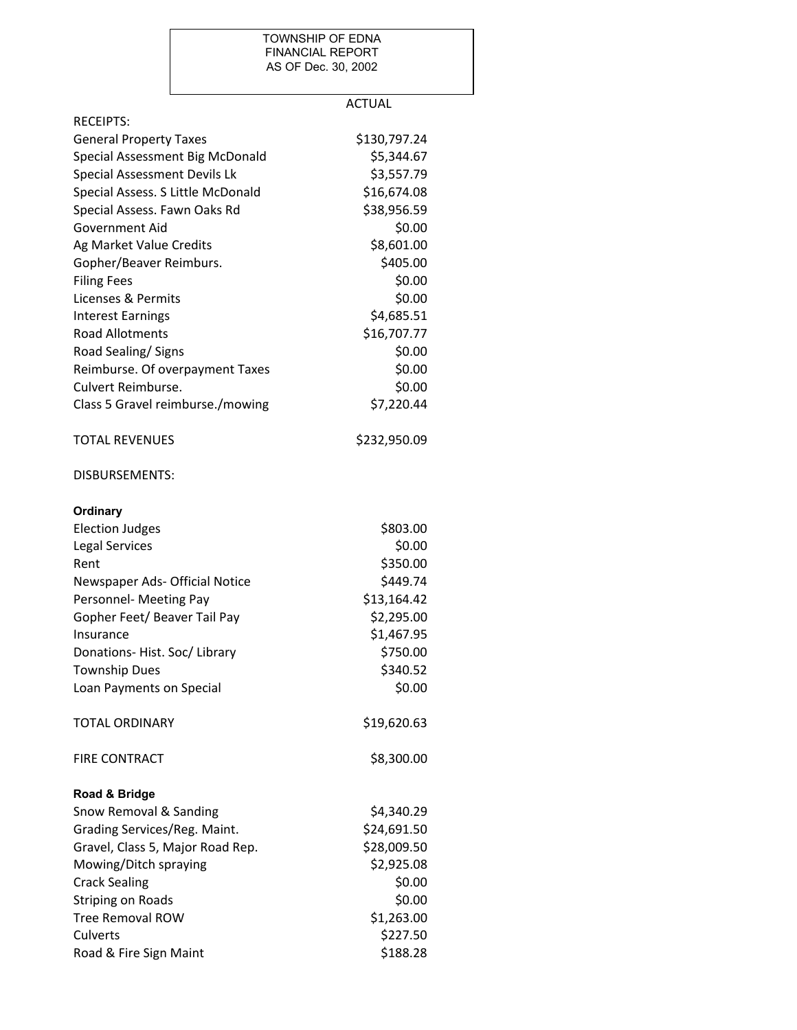## TOWNSHIP OF EDNA FINANCIAL REPORT AS OF Dec. 30, 2002

## ACTUAL

| <b>RECEIPTS:</b>                  |              |
|-----------------------------------|--------------|
| <b>General Property Taxes</b>     | \$130,797.24 |
| Special Assessment Big McDonald   | \$5,344.67   |
| Special Assessment Devils Lk      | \$3,557.79   |
| Special Assess. S Little McDonald | \$16,674.08  |
| Special Assess. Fawn Oaks Rd      | \$38,956.59  |
| Government Aid                    | \$0.00       |
| Ag Market Value Credits           | \$8,601.00   |
| Gopher/Beaver Reimburs.           | \$405.00     |
| <b>Filing Fees</b>                | \$0.00       |
| Licenses & Permits                | \$0.00       |
| <b>Interest Earnings</b>          | \$4,685.51   |
| <b>Road Allotments</b>            | \$16,707.77  |
| Road Sealing/ Signs               | \$0.00       |
| Reimburse. Of overpayment Taxes   | \$0.00       |
| Culvert Reimburse.                | \$0.00       |
| Class 5 Gravel reimburse./mowing  | \$7,220.44   |
| <b>TOTAL REVENUES</b>             | \$232,950.09 |
| DISBURSEMENTS:                    |              |
| Ordinary                          |              |
| <b>Election Judges</b>            | \$803.00     |
| <b>Legal Services</b>             | \$0.00       |
| Rent                              | \$350.00     |
| Newspaper Ads- Official Notice    | \$449.74     |
| Personnel- Meeting Pay            | \$13,164.42  |
| Gopher Feet/ Beaver Tail Pay      | \$2,295.00   |
| Insurance                         | \$1,467.95   |
| Donations-Hist. Soc/Library       | \$750.00     |
| <b>Township Dues</b>              | \$340.52     |
| Loan Payments on Special          | \$0.00       |
| <b>TOTAL ORDINARY</b>             | \$19,620.63  |
| <b>FIRE CONTRACT</b>              | \$8,300.00   |
| Road & Bridge                     |              |
| Snow Removal & Sanding            | \$4,340.29   |
| Grading Services/Reg. Maint.      | \$24,691.50  |
| Gravel, Class 5, Major Road Rep.  | \$28,009.50  |
| Mowing/Ditch spraying             | \$2,925.08   |
| <b>Crack Sealing</b>              | \$0.00       |
| <b>Striping on Roads</b>          | \$0.00       |
| <b>Tree Removal ROW</b>           | \$1,263.00   |
| Culverts                          | \$227.50     |
| Road & Fire Sign Maint            | \$188.28     |